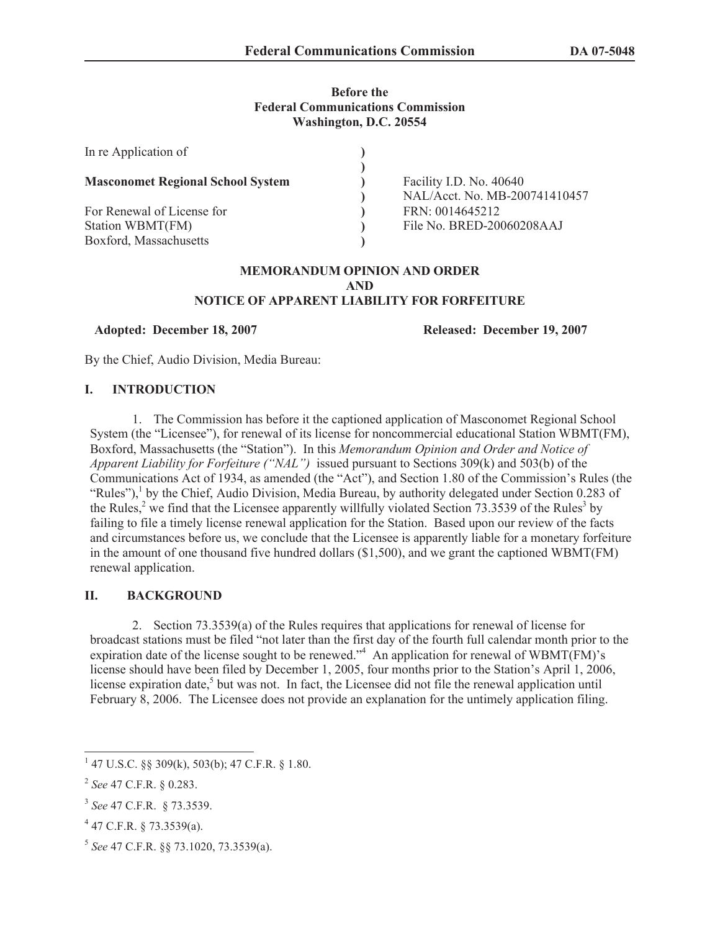# **Before the Federal Communications Commission Washington, D.C. 20554**

| In re Application of                                                     |                                                          |
|--------------------------------------------------------------------------|----------------------------------------------------------|
| <b>Masconomet Regional School System</b>                                 | Facility I.D. No. 40640<br>NAL/Acct. No. MB-200741410457 |
| For Renewal of License for<br>Station WBMT(FM)<br>Boxford, Massachusetts | FRN: 0014645212<br>File No. BRED-20060208AAJ             |

#### **MEMORANDUM OPINION AND ORDER AND NOTICE OF APPARENT LIABILITY FOR FORFEITURE**

## **Adopted: December 18, 2007 Released: December 19, 2007**

By the Chief, Audio Division, Media Bureau:

## **I. INTRODUCTION**

1. The Commission has before it the captioned application of Masconomet Regional School System (the "Licensee"), for renewal of its license for noncommercial educational Station WBMT(FM), Boxford, Massachusetts (the "Station"). In this *Memorandum Opinion and Order and Notice of Apparent Liability for Forfeiture ("NAL")* issued pursuant to Sections 309(k) and 503(b) of the Communications Act of 1934, as amended (the "Act"), and Section 1.80 of the Commission's Rules (the "Rules"),<sup>1</sup> by the Chief, Audio Division, Media Bureau, by authority delegated under Section 0.283 of the Rules,<sup>2</sup> we find that the Licensee apparently willfully violated Section 73.3539 of the Rules<sup>3</sup> by failing to file a timely license renewal application for the Station. Based upon our review of the facts and circumstances before us, we conclude that the Licensee is apparently liable for a monetary forfeiture in the amount of one thousand five hundred dollars (\$1,500), and we grant the captioned WBMT(FM) renewal application.

# **II. BACKGROUND**

2. Section 73.3539(a) of the Rules requires that applications for renewal of license for broadcast stations must be filed "not later than the first day of the fourth full calendar month prior to the expiration date of the license sought to be renewed." An application for renewal of WBMT( $F(M)$ 's license should have been filed by December 1, 2005, four months prior to the Station's April 1, 2006, license expiration date,<sup>5</sup> but was not. In fact, the Licensee did not file the renewal application until February 8, 2006. The Licensee does not provide an explanation for the untimely application filing.

 $147$  U.S.C. §§ 309(k), 503(b); 47 C.F.R. § 1.80.

<sup>2</sup> *See* 47 C.F.R. § 0.283.

<sup>3</sup> *See* 47 C.F.R. § 73.3539.

 $4$  47 C.F.R. § 73.3539(a).

<sup>5</sup> *See* 47 C.F.R. §§ 73.1020, 73.3539(a).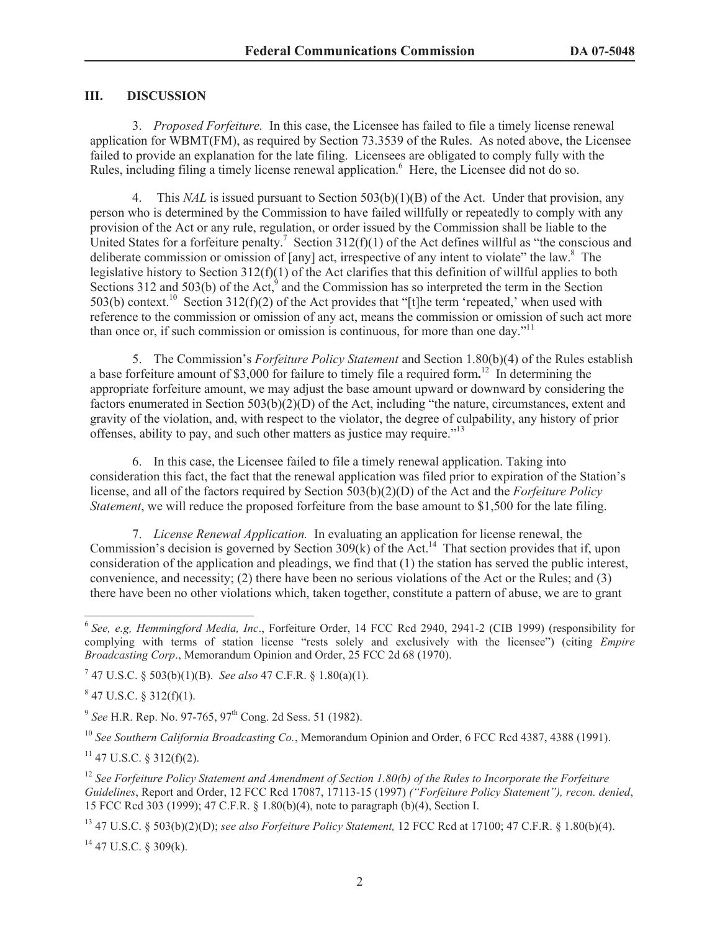# **III. DISCUSSION**

3. *Proposed Forfeiture.* In this case, the Licensee has failed to file a timely license renewal application for WBMT(FM), as required by Section 73.3539 of the Rules. As noted above, the Licensee failed to provide an explanation for the late filing. Licensees are obligated to comply fully with the Rules, including filing a timely license renewal application.<sup>6</sup> Here, the Licensee did not do so.

4. This *NAL* is issued pursuant to Section 503(b)(1)(B) of the Act. Under that provision, any person who is determined by the Commission to have failed willfully or repeatedly to comply with any provision of the Act or any rule, regulation, or order issued by the Commission shall be liable to the United States for a forfeiture penalty.<sup>7</sup> Section 312(f)(1) of the Act defines willful as "the conscious and deliberate commission or omission of [any] act, irrespective of any intent to violate" the law.<sup>8</sup> The legislative history to Section 312(f)(1) of the Act clarifies that this definition of willful applies to both Sections 312 and 503(b) of the Act, $9^9$  and the Commission has so interpreted the term in the Section 503(b) context.<sup>10</sup> Section 312(f)(2) of the Act provides that "[t]he term 'repeated,' when used with reference to the commission or omission of any act, means the commission or omission of such act more than once or, if such commission or omission is continuous, for more than one day.<sup> $11$ </sup>

5. The Commission's *Forfeiture Policy Statement* and Section 1.80(b)(4) of the Rules establish a base forfeiture amount of \$3,000 for failure to timely file a required form**.** <sup>12</sup> In determining the appropriate forfeiture amount, we may adjust the base amount upward or downward by considering the factors enumerated in Section 503(b)(2)(D) of the Act, including "the nature, circumstances, extent and gravity of the violation, and, with respect to the violator, the degree of culpability, any history of prior offenses, ability to pay, and such other matters as justice may require."<sup>13</sup>

6. In this case, the Licensee failed to file a timely renewal application. Taking into consideration this fact, the fact that the renewal application was filed prior to expiration of the Station's license, and all of the factors required by Section 503(b)(2)(D) of the Act and the *Forfeiture Policy Statement*, we will reduce the proposed forfeiture from the base amount to \$1,500 for the late filing.

7. *License Renewal Application.* In evaluating an application for license renewal, the Commission's decision is governed by Section 309(k) of the  $\text{Act}^{14}$ . That section provides that if, upon consideration of the application and pleadings, we find that (1) the station has served the public interest, convenience, and necessity; (2) there have been no serious violations of the Act or the Rules; and (3) there have been no other violations which, taken together, constitute a pattern of abuse, we are to grant

7 47 U.S.C. § 503(b)(1)(B). *See also* 47 C.F.R. § 1.80(a)(1).

 $847$  U.S.C. § 312(f)(1).

<sup>10</sup> *See Southern California Broadcasting Co.*, Memorandum Opinion and Order, 6 FCC Rcd 4387, 4388 (1991).

 $11$  47 U.S.C. § 312(f)(2).

<sup>12</sup> See Forfeiture Policy Statement and Amendment of Section 1.80(b) of the Rules to Incorporate the Forfeiture *Guidelines*, Report and Order, 12 FCC Rcd 17087, 17113-15 (1997) *("Forfeiture Policy Statement"), recon. denied*, 15 FCC Rcd 303 (1999); 47 C.F.R. § 1.80(b)(4), note to paragraph (b)(4), Section I.

<sup>13</sup> 47 U.S.C. § 503(b)(2)(D); *see also Forfeiture Policy Statement,* 12 FCC Rcd at 17100; 47 C.F.R. § 1.80(b)(4).

 $14$  47 U.S.C. § 309(k).

<sup>6</sup> *See, e.g, Hemmingford Media, Inc*., Forfeiture Order, 14 FCC Rcd 2940, 2941-2 (CIB 1999) (responsibility for complying with terms of station license "rests solely and exclusively with the licensee") (citing *Empire Broadcasting Corp*., Memorandum Opinion and Order, 25 FCC 2d 68 (1970).

<sup>&</sup>lt;sup>9</sup> See H.R. Rep. No. 97-765, 97<sup>th</sup> Cong. 2d Sess. 51 (1982).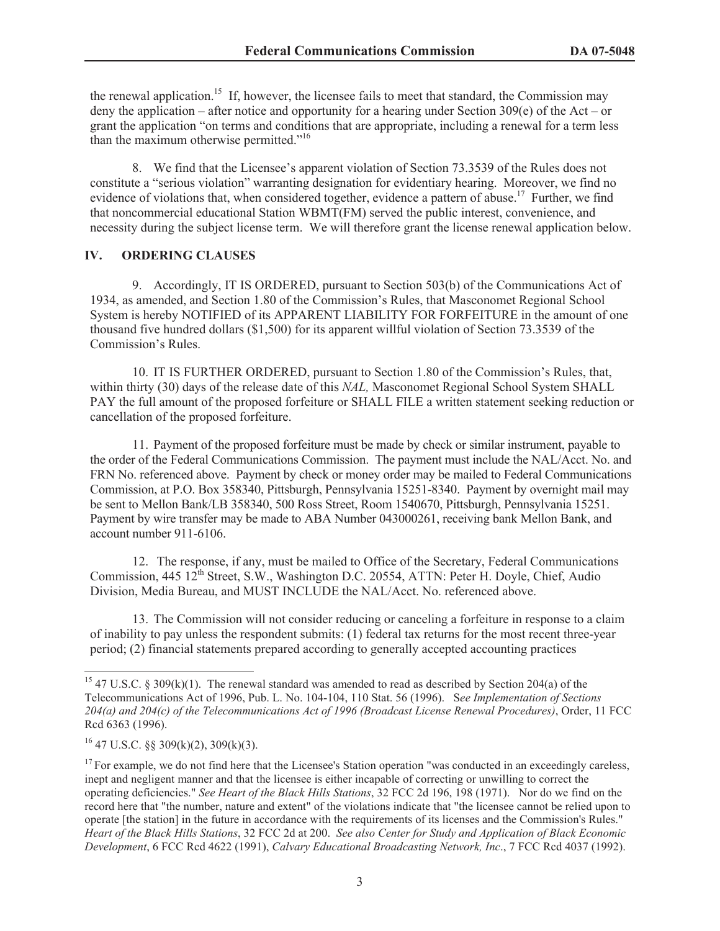the renewal application.<sup>15</sup> If, however, the licensee fails to meet that standard, the Commission may deny the application – after notice and opportunity for a hearing under Section 309(e) of the Act – or grant the application "on terms and conditions that are appropriate, including a renewal for a term less than the maximum otherwise permitted."<sup>16</sup>

8. We find that the Licensee's apparent violation of Section 73.3539 of the Rules does not constitute a "serious violation" warranting designation for evidentiary hearing. Moreover, we find no evidence of violations that, when considered together, evidence a pattern of abuse.<sup>17</sup> Further, we find that noncommercial educational Station WBMT(FM) served the public interest, convenience, and necessity during the subject license term. We will therefore grant the license renewal application below.

# **IV. ORDERING CLAUSES**

9. Accordingly, IT IS ORDERED, pursuant to Section 503(b) of the Communications Act of 1934, as amended, and Section 1.80 of the Commission's Rules, that Masconomet Regional School System is hereby NOTIFIED of its APPARENT LIABILITY FOR FORFEITURE in the amount of one thousand five hundred dollars (\$1,500) for its apparent willful violation of Section 73.3539 of the Commission's Rules.

10. IT IS FURTHER ORDERED, pursuant to Section 1.80 of the Commission's Rules, that, within thirty (30) days of the release date of this *NAL,* Masconomet Regional School System SHALL PAY the full amount of the proposed forfeiture or SHALL FILE a written statement seeking reduction or cancellation of the proposed forfeiture.

11. Payment of the proposed forfeiture must be made by check or similar instrument, payable to the order of the Federal Communications Commission. The payment must include the NAL/Acct. No. and FRN No. referenced above. Payment by check or money order may be mailed to Federal Communications Commission, at P.O. Box 358340, Pittsburgh, Pennsylvania 15251-8340. Payment by overnight mail may be sent to Mellon Bank/LB 358340, 500 Ross Street, Room 1540670, Pittsburgh, Pennsylvania 15251. Payment by wire transfer may be made to ABA Number 043000261, receiving bank Mellon Bank, and account number 911-6106.

12. The response, if any, must be mailed to Office of the Secretary, Federal Communications Commission, 445 12<sup>th</sup> Street, S.W., Washington D.C. 20554, ATTN: Peter H. Doyle, Chief, Audio Division, Media Bureau, and MUST INCLUDE the NAL/Acct. No. referenced above.

13. The Commission will not consider reducing or canceling a forfeiture in response to a claim of inability to pay unless the respondent submits: (1) federal tax returns for the most recent three-year period; (2) financial statements prepared according to generally accepted accounting practices

<sup>&</sup>lt;sup>15</sup> 47 U.S.C. § 309(k)(1). The renewal standard was amended to read as described by Section 204(a) of the Telecommunications Act of 1996, Pub. L. No. 104-104, 110 Stat. 56 (1996). S*ee Implementation of Sections 204(a) and 204(c) of the Telecommunications Act of 1996 (Broadcast License Renewal Procedures)*, Order, 11 FCC Rcd 6363 (1996).

 $16$  47 U.S.C. §§ 309(k)(2), 309(k)(3).

 $17$  For example, we do not find here that the Licensee's Station operation "was conducted in an exceedingly careless, inept and negligent manner and that the licensee is either incapable of correcting or unwilling to correct the operating deficiencies." *See Heart of the Black Hills Stations*, 32 FCC 2d 196, 198 (1971). Nor do we find on the record here that "the number, nature and extent" of the violations indicate that "the licensee cannot be relied upon to operate [the station] in the future in accordance with the requirements of its licenses and the Commission's Rules." *Heart of the Black Hills Stations*, 32 FCC 2d at 200. *See also Center for Study and Application of Black Economic Development*, 6 FCC Rcd 4622 (1991), *Calvary Educational Broadcasting Network, Inc*., 7 FCC Rcd 4037 (1992).